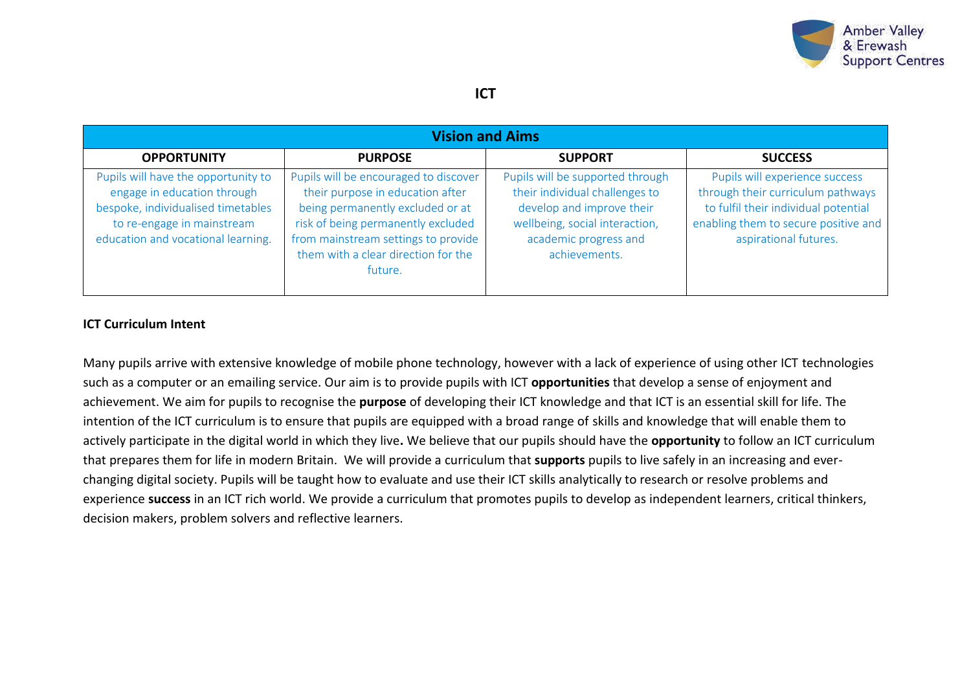

### **ICT**

| <b>Vision and Aims</b>                                                                                                                                                       |                                                                                                                                                                                                                                              |                                                                                                                                                                             |                                                                                                                                                                              |  |  |  |  |
|------------------------------------------------------------------------------------------------------------------------------------------------------------------------------|----------------------------------------------------------------------------------------------------------------------------------------------------------------------------------------------------------------------------------------------|-----------------------------------------------------------------------------------------------------------------------------------------------------------------------------|------------------------------------------------------------------------------------------------------------------------------------------------------------------------------|--|--|--|--|
| <b>OPPORTUNITY</b>                                                                                                                                                           | <b>PURPOSE</b>                                                                                                                                                                                                                               | <b>SUPPORT</b>                                                                                                                                                              | <b>SUCCESS</b>                                                                                                                                                               |  |  |  |  |
| Pupils will have the opportunity to<br>engage in education through<br>bespoke, individualised timetables<br>to re-engage in mainstream<br>education and vocational learning. | Pupils will be encouraged to discover<br>their purpose in education after<br>being permanently excluded or at<br>risk of being permanently excluded<br>from mainstream settings to provide<br>them with a clear direction for the<br>future. | Pupils will be supported through<br>their individual challenges to<br>develop and improve their<br>wellbeing, social interaction,<br>academic progress and<br>achievements. | Pupils will experience success<br>through their curriculum pathways<br>to fulfil their individual potential<br>enabling them to secure positive and<br>aspirational futures. |  |  |  |  |

#### **ICT Curriculum Intent**

Many pupils arrive with extensive knowledge of mobile phone technology, however with a lack of experience of using other ICT technologies such as a computer or an emailing service. Our aim is to provide pupils with ICT **opportunities** that develop a sense of enjoyment and achievement. We aim for pupils to recognise the **purpose** of developing their ICT knowledge and that ICT is an essential skill for life. The intention of the ICT curriculum is to ensure that pupils are equipped with a broad range of skills and knowledge that will enable them to actively participate in the digital world in which they live**.** We believe that our pupils should have the **opportunity** to follow an ICT curriculum that prepares them for life in modern Britain. We will provide a curriculum that **supports** pupils to live safely in an increasing and everchanging digital society. Pupils will be taught how to evaluate and use their ICT skills analytically to research or resolve problems and experience **success** in an ICT rich world. We provide a curriculum that promotes pupils to develop as independent learners, critical thinkers, decision makers, problem solvers and reflective learners.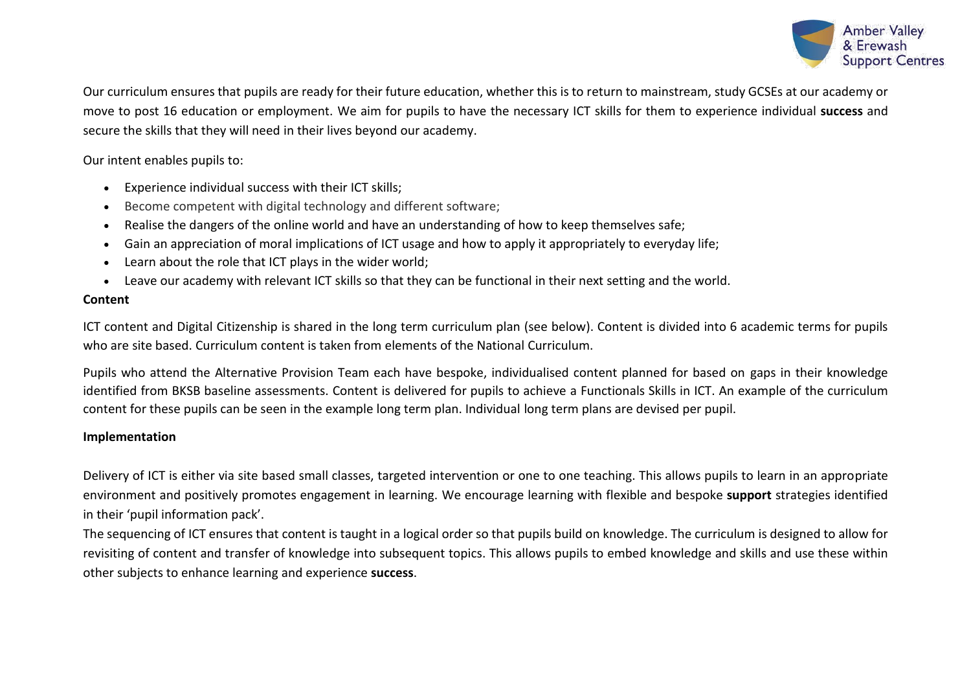

Our curriculum ensures that pupils are ready for their future education, whether this is to return to mainstream, study GCSEs at our academy or move to post 16 education or employment. We aim for pupils to have the necessary ICT skills for them to experience individual **success** and secure the skills that they will need in their lives beyond our academy.

#### Our intent enables pupils to:

- Experience individual success with their ICT skills;
- Become competent with digital technology and different software;
- Realise the dangers of the online world and have an understanding of how to keep themselves safe;
- Gain an appreciation of moral implications of ICT usage and how to apply it appropriately to everyday life;
- Learn about the role that ICT plays in the wider world;
- Leave our academy with relevant ICT skills so that they can be functional in their next setting and the world.

#### **Content**

ICT content and Digital Citizenship is shared in the long term curriculum plan (see below). Content is divided into 6 academic terms for pupils who are site based. Curriculum content is taken from elements of the National Curriculum.

Pupils who attend the Alternative Provision Team each have bespoke, individualised content planned for based on gaps in their knowledge identified from BKSB baseline assessments. Content is delivered for pupils to achieve a Functionals Skills in ICT. An example of the curriculum content for these pupils can be seen in the example long term plan. Individual long term plans are devised per pupil.

#### **Implementation**

Delivery of ICT is either via site based small classes, targeted intervention or one to one teaching. This allows pupils to learn in an appropriate environment and positively promotes engagement in learning. We encourage learning with flexible and bespoke **support** strategies identified in their 'pupil information pack'.

The sequencing of ICT ensures that content is taught in a logical order so that pupils build on knowledge. The curriculum is designed to allow for revisiting of content and transfer of knowledge into subsequent topics. This allows pupils to embed knowledge and skills and use these within other subjects to enhance learning and experience **success**.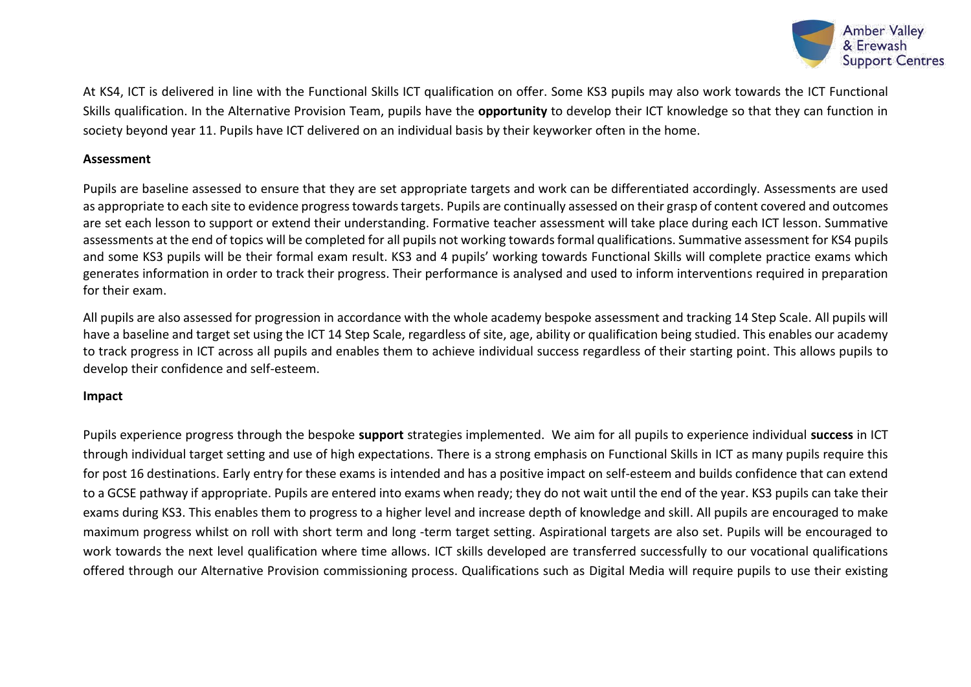

At KS4, ICT is delivered in line with the Functional Skills ICT qualification on offer. Some KS3 pupils may also work towards the ICT Functional Skills qualification. In the Alternative Provision Team, pupils have the **opportunity** to develop their ICT knowledge so that they can function in society beyond year 11. Pupils have ICT delivered on an individual basis by their keyworker often in the home.

#### **Assessment**

Pupils are baseline assessed to ensure that they are set appropriate targets and work can be differentiated accordingly. Assessments are used as appropriate to each site to evidence progress towards targets. Pupils are continually assessed on their grasp of content covered and outcomes are set each lesson to support or extend their understanding. Formative teacher assessment will take place during each ICT lesson. Summative assessments at the end of topics will be completed for all pupils not working towards formal qualifications. Summative assessment for KS4 pupils and some KS3 pupils will be their formal exam result. KS3 and 4 pupils' working towards Functional Skills will complete practice exams which generates information in order to track their progress. Their performance is analysed and used to inform interventions required in preparation for their exam.

All pupils are also assessed for progression in accordance with the whole academy bespoke assessment and tracking 14 Step Scale. All pupils will have a baseline and target set using the ICT 14 Step Scale, regardless of site, age, ability or qualification being studied. This enables our academy to track progress in ICT across all pupils and enables them to achieve individual success regardless of their starting point. This allows pupils to develop their confidence and self-esteem.

#### **Impact**

Pupils experience progress through the bespoke **support** strategies implemented. We aim for all pupils to experience individual **success** in ICT through individual target setting and use of high expectations. There is a strong emphasis on Functional Skills in ICT as many pupils require this for post 16 destinations. Early entry for these exams is intended and has a positive impact on self-esteem and builds confidence that can extend to a GCSE pathway if appropriate. Pupils are entered into exams when ready; they do not wait until the end of the year. KS3 pupils can take their exams during KS3. This enables them to progress to a higher level and increase depth of knowledge and skill. All pupils are encouraged to make maximum progress whilst on roll with short term and long -term target setting. Aspirational targets are also set. Pupils will be encouraged to work towards the next level qualification where time allows. ICT skills developed are transferred successfully to our vocational qualifications offered through our Alternative Provision commissioning process. Qualifications such as Digital Media will require pupils to use their existing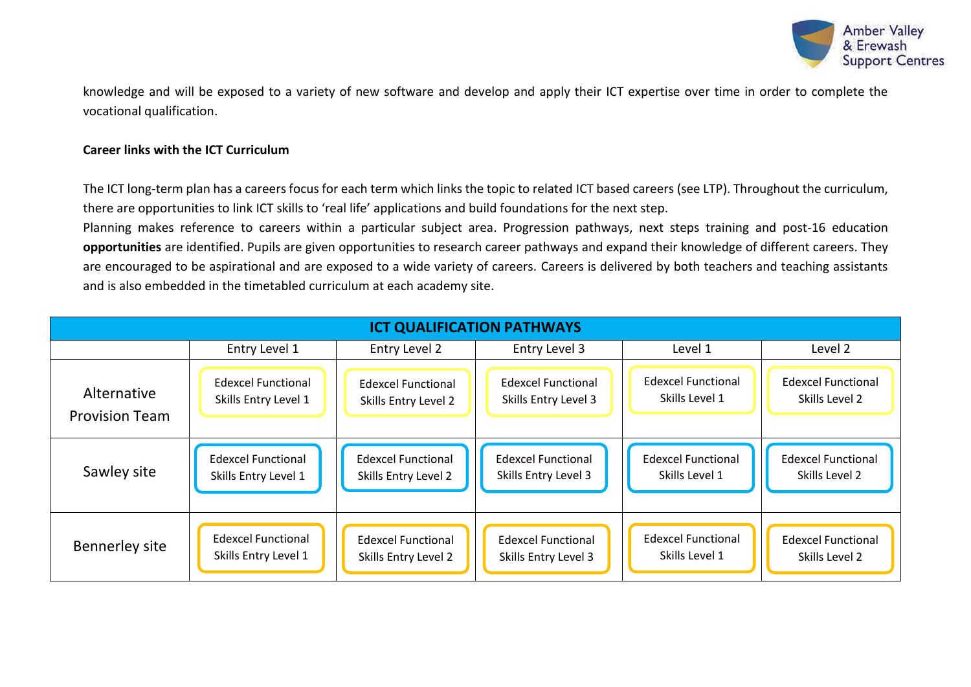

knowledge and will be exposed to a variety of new software and develop and apply their ICT expertise over time in order to complete the vocational qualification.

#### **Career links with the ICT Curriculum**

The ICT long-term plan has a careers focus for each term which links the topic to related ICT based careers (see LTP). Throughout the curriculum, there are opportunities to link ICT skills to 'real life' applications and build foundations for the next step.

Planning makes reference to careers within a particular subject area. Progression pathways, next steps training and post-16 education **opportunities** are identified. Pupils are given opportunities to research career pathways and expand their knowledge of different careers. They are encouraged to be aspirational and are exposed to a wide variety of careers. Careers is delivered by both teachers and teaching assistants and is also embedded in the timetabled curriculum at each academy site.

| <b>ICT QUALIFICATION PATHWAYS</b> |                           |                           |                           |                           |                           |  |
|-----------------------------------|---------------------------|---------------------------|---------------------------|---------------------------|---------------------------|--|
|                                   | Entry Level 1             | Entry Level 2             | Entry Level 3             | Level 1                   | Level 2                   |  |
| Alternative                       | <b>Edexcel Functional</b> | <b>Edexcel Functional</b> | <b>Edexcel Functional</b> | <b>Edexcel Functional</b> | <b>Edexcel Functional</b> |  |
| <b>Provision Team</b>             | Skills Entry Level 1      | Skills Entry Level 2      | Skills Entry Level 3      | Skills Level 1            | Skills Level 2            |  |
| Sawley site                       | <b>Edexcel Functional</b> | <b>Edexcel Functional</b> | <b>Edexcel Functional</b> | <b>Edexcel Functional</b> | <b>Edexcel Functional</b> |  |
|                                   | Skills Entry Level 1      | Skills Entry Level 2      | Skills Entry Level 3      | Skills Level 1            | Skills Level 2            |  |
| Bennerley site                    | <b>Edexcel Functional</b> | <b>Edexcel Functional</b> | <b>Edexcel Functional</b> | <b>Edexcel Functional</b> | <b>Edexcel Functional</b> |  |
|                                   | Skills Entry Level 1      | Skills Entry Level 2      | Skills Entry Level 3      | Skills Level 1            | Skills Level 2            |  |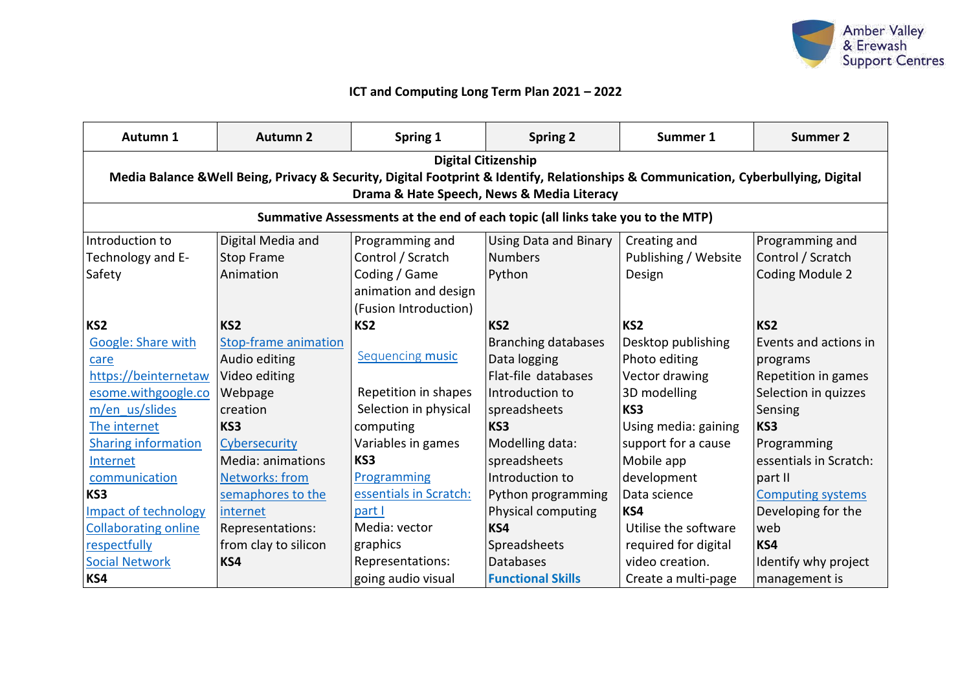

## **ICT and Computing Long Term Plan 2021 – 2022**

| Autumn 1                    | <b>Autumn 2</b>                                                                                                                                                   | Spring 1                | <b>Spring 2</b>                                                                | Summer 1             | <b>Summer 2</b>          |  |  |
|-----------------------------|-------------------------------------------------------------------------------------------------------------------------------------------------------------------|-------------------------|--------------------------------------------------------------------------------|----------------------|--------------------------|--|--|
|                             | <b>Digital Citizenship</b><br>Media Balance & Well Being, Privacy & Security, Digital Footprint & Identify, Relationships & Communication, Cyberbullying, Digital |                         |                                                                                |                      |                          |  |  |
|                             |                                                                                                                                                                   |                         | Drama & Hate Speech, News & Media Literacy                                     |                      |                          |  |  |
|                             |                                                                                                                                                                   |                         | Summative Assessments at the end of each topic (all links take you to the MTP) |                      |                          |  |  |
| Introduction to             | Digital Media and                                                                                                                                                 | Programming and         | Using Data and Binary                                                          | Creating and         | Programming and          |  |  |
| Technology and E-           | <b>Stop Frame</b>                                                                                                                                                 | Control / Scratch       | <b>Numbers</b>                                                                 | Publishing / Website | Control / Scratch        |  |  |
| Safety                      | Animation                                                                                                                                                         | Coding / Game           | Python                                                                         | Design               | <b>Coding Module 2</b>   |  |  |
|                             |                                                                                                                                                                   | animation and design    |                                                                                |                      |                          |  |  |
|                             |                                                                                                                                                                   | (Fusion Introduction)   |                                                                                |                      |                          |  |  |
| KS <sub>2</sub>             | KS <sub>2</sub>                                                                                                                                                   | KS <sub>2</sub>         | KS <sub>2</sub>                                                                | KS <sub>2</sub>      | KS <sub>2</sub>          |  |  |
| Google: Share with          | <b>Stop-frame animation</b>                                                                                                                                       |                         | <b>Branching databases</b>                                                     | Desktop publishing   | Events and actions in    |  |  |
| care                        | Audio editing                                                                                                                                                     | Sequencing music        | Data logging                                                                   | Photo editing        | programs                 |  |  |
| https://beinternetaw        | Video editing                                                                                                                                                     |                         | Flat-file databases                                                            | Vector drawing       | Repetition in games      |  |  |
| esome.withgoogle.co         | Webpage                                                                                                                                                           | Repetition in shapes    | Introduction to                                                                | 3D modelling         | Selection in quizzes     |  |  |
| m/en us/slides              | creation                                                                                                                                                          | Selection in physical   | spreadsheets                                                                   | KS3                  | Sensing                  |  |  |
| The internet                | KS3                                                                                                                                                               | computing               | KS3                                                                            | Using media: gaining | KS3                      |  |  |
| <b>Sharing information</b>  | Cybersecurity                                                                                                                                                     | Variables in games      | Modelling data:                                                                | support for a cause  | Programming              |  |  |
| Internet                    | Media: animations                                                                                                                                                 | KS3                     | spreadsheets                                                                   | Mobile app           | essentials in Scratch:   |  |  |
| communication               | <b>Networks: from</b>                                                                                                                                             | Programming             | Introduction to                                                                | development          | part II                  |  |  |
| KS3                         | semaphores to the                                                                                                                                                 | essentials in Scratch:  | Python programming                                                             | Data science         | <b>Computing systems</b> |  |  |
| <b>Impact of technology</b> | internet                                                                                                                                                          | part I                  | Physical computing                                                             | KS4                  | Developing for the       |  |  |
| <b>Collaborating online</b> | Representations:                                                                                                                                                  | Media: vector           | KS4                                                                            | Utilise the software | web                      |  |  |
| respectfully                | from clay to silicon                                                                                                                                              | graphics                | Spreadsheets                                                                   | required for digital | KS4                      |  |  |
| <b>Social Network</b>       | KS4                                                                                                                                                               | <b>Representations:</b> | <b>Databases</b>                                                               | video creation.      | Identify why project     |  |  |
| KS4                         |                                                                                                                                                                   | going audio visual      | <b>Functional Skills</b>                                                       | Create a multi-page  | management is            |  |  |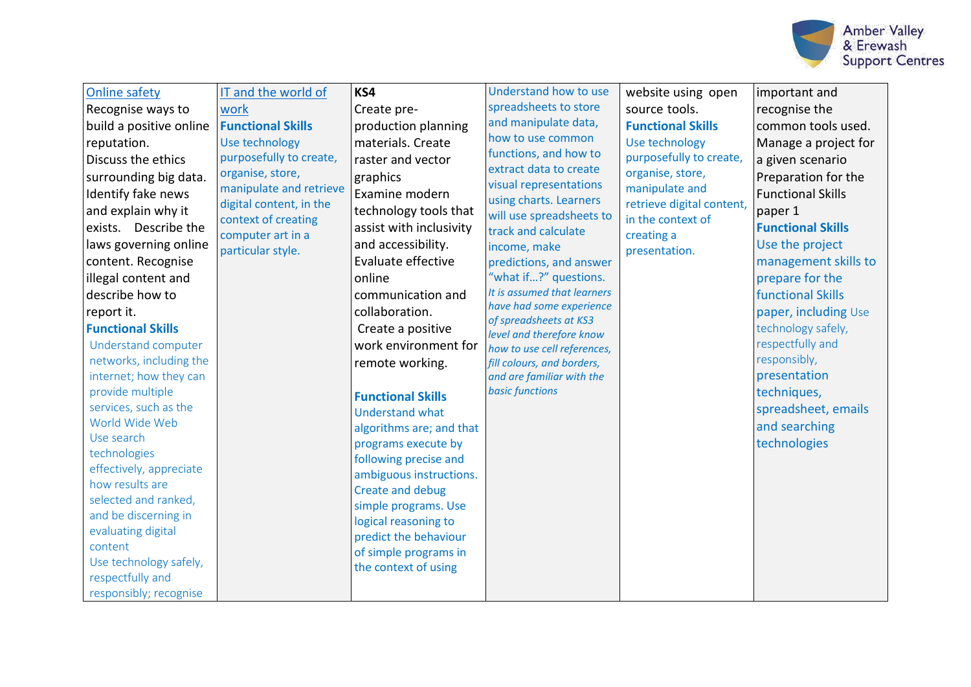

| <b>Online safety</b><br>IT and the world of<br>Recognise ways to<br>work<br><b>Functional Skills</b><br>build a positive online<br>Use technology<br>reputation.<br>purposefully to create,<br>Discuss the ethics<br>organise, store,<br>surrounding big data.<br>manipulate and retrieve<br>Identify fake news<br>digital content, in the<br>and explain why it<br>context of creating<br>exists. Describe the<br>computer art in a<br>laws governing online<br>particular style.<br>content. Recognise<br>illegal content and<br>describe how to<br>report it.<br><b>Functional Skills</b><br>Understand computer<br>networks, including the<br>internet; how they can<br>provide multiple<br>services, such as the<br>World Wide Web<br>Use search<br>technologies<br>effectively, appreciate<br>how results are<br>selected and ranked,<br>and be discerning in<br>evaluating digital<br>content<br>Use technology safely,<br>respectfully and<br>responsibly; recognise | KS4<br>Create pre-<br>production planning<br>materials. Create<br>raster and vector<br>graphics<br>Examine modern<br>technology tools that<br>assist with inclusivity<br>and accessibility.<br>Evaluate effective<br>online<br>communication and<br>collaboration.<br>Create a positive<br>work environment for<br>remote working.<br><b>Functional Skills</b><br><b>Understand what</b><br>algorithms are; and that<br>programs execute by<br>following precise and<br>ambiguous instructions.<br>Create and debug<br>simple programs. Use<br>logical reasoning to<br>predict the behaviour<br>of simple programs in<br>the context of using | Understand how to use<br>spreadsheets to store<br>and manipulate data,<br>how to use common<br>functions, and how to<br>extract data to create<br>visual representations<br>using charts. Learners<br>will use spreadsheets to<br>track and calculate<br>income, make<br>predictions, and answer<br>"what if?" questions.<br>It is assumed that learners<br>have had some experience<br>of spreadsheets at KS3<br>level and therefore know<br>how to use cell references,<br>fill colours, and borders,<br>and are familiar with the<br><b>basic functions</b> | website using open<br>source tools.<br><b>Functional Skills</b><br>Use technology<br>purposefully to create,<br>organise, store,<br>manipulate and<br>retrieve digital content,<br>in the context of<br>creating a<br>presentation. | important and<br>recognise the<br>common tools used.<br>Manage a project for<br>a given scenario<br>Preparation for the<br><b>Functional Skills</b><br>paper 1<br><b>Functional Skills</b><br>Use the project<br>management skills to<br>prepare for the<br><b>functional Skills</b><br>paper, including Use<br>technology safely,<br>respectfully and<br>responsibly,<br>presentation<br>techniques,<br>spreadsheet, emails<br>and searching<br>technologies |
|------------------------------------------------------------------------------------------------------------------------------------------------------------------------------------------------------------------------------------------------------------------------------------------------------------------------------------------------------------------------------------------------------------------------------------------------------------------------------------------------------------------------------------------------------------------------------------------------------------------------------------------------------------------------------------------------------------------------------------------------------------------------------------------------------------------------------------------------------------------------------------------------------------------------------------------------------------------------------|-----------------------------------------------------------------------------------------------------------------------------------------------------------------------------------------------------------------------------------------------------------------------------------------------------------------------------------------------------------------------------------------------------------------------------------------------------------------------------------------------------------------------------------------------------------------------------------------------------------------------------------------------|----------------------------------------------------------------------------------------------------------------------------------------------------------------------------------------------------------------------------------------------------------------------------------------------------------------------------------------------------------------------------------------------------------------------------------------------------------------------------------------------------------------------------------------------------------------|-------------------------------------------------------------------------------------------------------------------------------------------------------------------------------------------------------------------------------------|---------------------------------------------------------------------------------------------------------------------------------------------------------------------------------------------------------------------------------------------------------------------------------------------------------------------------------------------------------------------------------------------------------------------------------------------------------------|
|------------------------------------------------------------------------------------------------------------------------------------------------------------------------------------------------------------------------------------------------------------------------------------------------------------------------------------------------------------------------------------------------------------------------------------------------------------------------------------------------------------------------------------------------------------------------------------------------------------------------------------------------------------------------------------------------------------------------------------------------------------------------------------------------------------------------------------------------------------------------------------------------------------------------------------------------------------------------------|-----------------------------------------------------------------------------------------------------------------------------------------------------------------------------------------------------------------------------------------------------------------------------------------------------------------------------------------------------------------------------------------------------------------------------------------------------------------------------------------------------------------------------------------------------------------------------------------------------------------------------------------------|----------------------------------------------------------------------------------------------------------------------------------------------------------------------------------------------------------------------------------------------------------------------------------------------------------------------------------------------------------------------------------------------------------------------------------------------------------------------------------------------------------------------------------------------------------------|-------------------------------------------------------------------------------------------------------------------------------------------------------------------------------------------------------------------------------------|---------------------------------------------------------------------------------------------------------------------------------------------------------------------------------------------------------------------------------------------------------------------------------------------------------------------------------------------------------------------------------------------------------------------------------------------------------------|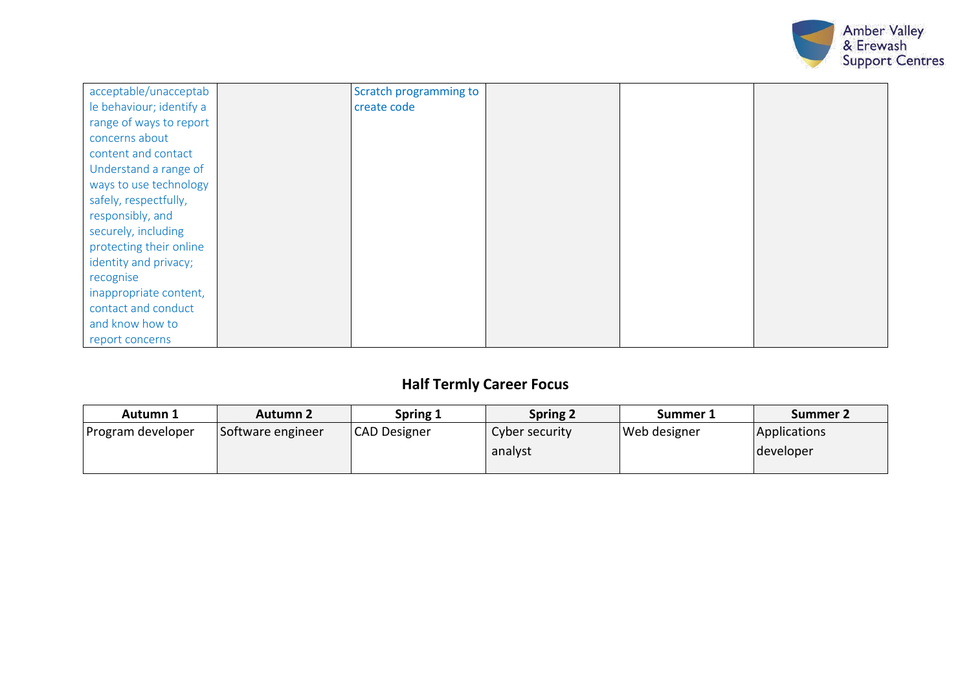

| acceptable/unacceptab    | Scratch programming to |  |  |
|--------------------------|------------------------|--|--|
| le behaviour; identify a | create code            |  |  |
| range of ways to report  |                        |  |  |
| concerns about           |                        |  |  |
| content and contact      |                        |  |  |
| Understand a range of    |                        |  |  |
| ways to use technology   |                        |  |  |
| safely, respectfully,    |                        |  |  |
| responsibly, and         |                        |  |  |
| securely, including      |                        |  |  |
| protecting their online  |                        |  |  |
| identity and privacy;    |                        |  |  |
| recognise                |                        |  |  |
| inappropriate content,   |                        |  |  |
| contact and conduct      |                        |  |  |
| and know how to          |                        |  |  |
| report concerns          |                        |  |  |

# **Half Termly Career Focus**

| Autumn 1          | Autumn 2          | Spring 1     | <b>Spring 2</b> | Summer 1            | Summer 2            |
|-------------------|-------------------|--------------|-----------------|---------------------|---------------------|
| Program developer | Software engineer | CAD Designer | Cyber security  | <b>Web designer</b> | <b>Applications</b> |
|                   |                   |              | analyst         |                     | developer           |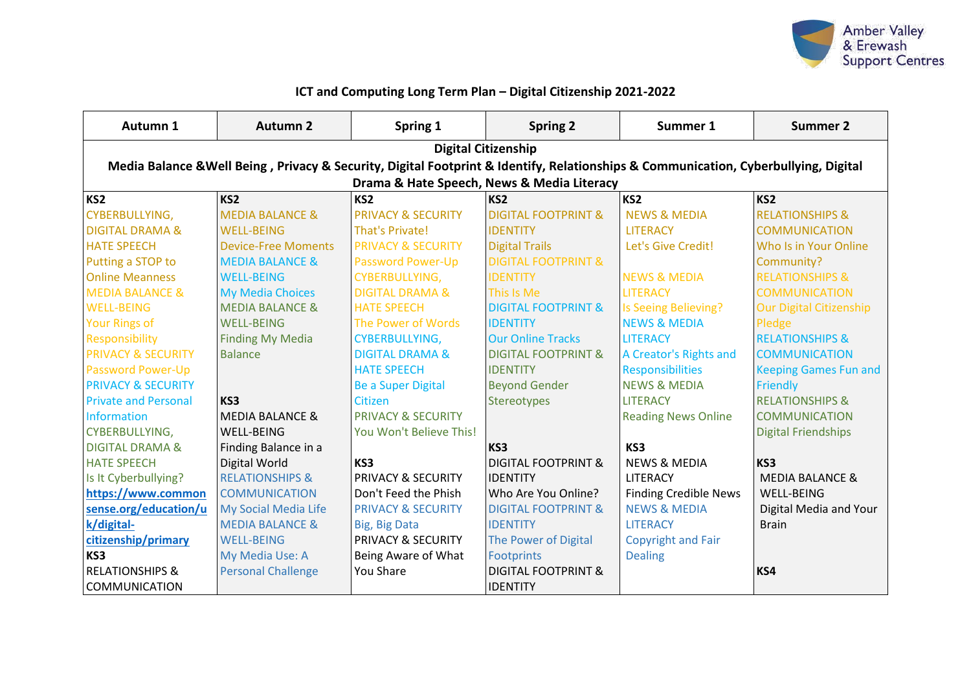

## **ICT and Computing Long Term Plan – Digital Citizenship 2021-2022**

| Autumn 1                      | <b>Autumn 2</b>                                                                                                                     | Spring 1                      | <b>Spring 2</b>                            | Summer 1                     | <b>Summer 2</b>                |  |  |
|-------------------------------|-------------------------------------------------------------------------------------------------------------------------------------|-------------------------------|--------------------------------------------|------------------------------|--------------------------------|--|--|
|                               |                                                                                                                                     |                               | <b>Digital Citizenship</b>                 |                              |                                |  |  |
|                               | Media Balance & Well Being, Privacy & Security, Digital Footprint & Identify, Relationships & Communication, Cyberbullying, Digital |                               |                                            |                              |                                |  |  |
|                               |                                                                                                                                     |                               | Drama & Hate Speech, News & Media Literacy |                              |                                |  |  |
| KS <sub>2</sub>               | KS <sub>2</sub>                                                                                                                     | KS <sub>2</sub>               | KS <sub>2</sub>                            | KS <sub>2</sub>              | KS <sub>2</sub>                |  |  |
| CYBERBULLYING,                | <b>MEDIA BALANCE &amp;</b>                                                                                                          | <b>PRIVACY &amp; SECURITY</b> | <b>DIGITAL FOOTPRINT &amp;</b>             | <b>NEWS &amp; MEDIA</b>      | <b>RELATIONSHIPS &amp;</b>     |  |  |
| <b>DIGITAL DRAMA &amp;</b>    | <b>WELL-BEING</b>                                                                                                                   | <b>That's Private!</b>        | <b>IDENTITY</b>                            | <b>LITERACY</b>              | <b>COMMUNICATION</b>           |  |  |
| <b>HATE SPEECH</b>            | <b>Device-Free Moments</b>                                                                                                          | <b>PRIVACY &amp; SECURITY</b> | <b>Digital Trails</b>                      | Let's Give Credit!           | Who Is in Your Online          |  |  |
| Putting a STOP to             | <b>MEDIA BALANCE &amp;</b>                                                                                                          | <b>Password Power-Up</b>      | <b>DIGITAL FOOTPRINT &amp;</b>             |                              | Community?                     |  |  |
| <b>Online Meanness</b>        | <b>WELL-BEING</b>                                                                                                                   | <b>CYBERBULLYING,</b>         | <b>IDENTITY</b>                            | <b>NEWS &amp; MEDIA</b>      | <b>RELATIONSHIPS &amp;</b>     |  |  |
| <b>MEDIA BALANCE &amp;</b>    | <b>My Media Choices</b>                                                                                                             | <b>DIGITAL DRAMA &amp;</b>    | This Is Me                                 | <b>LITERACY</b>              | <b>COMMUNICATION</b>           |  |  |
| <b>WELL-BEING</b>             | <b>MEDIA BALANCE &amp;</b>                                                                                                          | <b>HATE SPEECH</b>            | <b>DIGITAL FOOTPRINT &amp;</b>             | Is Seeing Believing?         | <b>Our Digital Citizenship</b> |  |  |
| <b>Your Rings of</b>          | <b>WELL-BEING</b>                                                                                                                   | The Power of Words            | <b>IDENTITY</b>                            | <b>NEWS &amp; MEDIA</b>      | Pledge                         |  |  |
| Responsibility                | <b>Finding My Media</b>                                                                                                             | <b>CYBERBULLYING,</b>         | <b>Our Online Tracks</b>                   | <b>LITERACY</b>              | <b>RELATIONSHIPS &amp;</b>     |  |  |
| <b>PRIVACY &amp; SECURITY</b> | <b>Balance</b>                                                                                                                      | <b>DIGITAL DRAMA &amp;</b>    | <b>DIGITAL FOOTPRINT &amp;</b>             | A Creator's Rights and       | <b>COMMUNICATION</b>           |  |  |
| <b>Password Power-Up</b>      |                                                                                                                                     | <b>HATE SPEECH</b>            | <b>IDENTITY</b>                            | <b>Responsibilities</b>      | <b>Keeping Games Fun and</b>   |  |  |
| <b>PRIVACY &amp; SECURITY</b> |                                                                                                                                     | <b>Be a Super Digital</b>     | <b>Beyond Gender</b>                       | <b>NEWS &amp; MEDIA</b>      | Friendly                       |  |  |
| <b>Private and Personal</b>   | KS3                                                                                                                                 | Citizen                       | Stereotypes                                | <b>LITERACY</b>              | <b>RELATIONSHIPS &amp;</b>     |  |  |
| <b>Information</b>            | <b>MEDIA BALANCE &amp;</b>                                                                                                          | <b>PRIVACY &amp; SECURITY</b> |                                            | <b>Reading News Online</b>   | <b>COMMUNICATION</b>           |  |  |
| CYBERBULLYING,                | <b>WELL-BEING</b>                                                                                                                   | You Won't Believe This!       |                                            |                              | <b>Digital Friendships</b>     |  |  |
| <b>DIGITAL DRAMA &amp;</b>    | Finding Balance in a                                                                                                                |                               | KS3                                        | KS3                          |                                |  |  |
| <b>HATE SPEECH</b>            | Digital World                                                                                                                       | KS3                           | <b>DIGITAL FOOTPRINT &amp;</b>             | <b>NEWS &amp; MEDIA</b>      | KS3                            |  |  |
| Is It Cyberbullying?          | <b>RELATIONSHIPS &amp;</b>                                                                                                          | <b>PRIVACY &amp; SECURITY</b> | <b>IDENTITY</b>                            | LITERACY                     | <b>MEDIA BALANCE &amp;</b>     |  |  |
| https://www.common            | <b>COMMUNICATION</b>                                                                                                                | Don't Feed the Phish          | Who Are You Online?                        | <b>Finding Credible News</b> | <b>WELL-BEING</b>              |  |  |
| sense.org/education/u         | My Social Media Life                                                                                                                | <b>PRIVACY &amp; SECURITY</b> | <b>DIGITAL FOOTPRINT &amp;</b>             | <b>NEWS &amp; MEDIA</b>      | Digital Media and Your         |  |  |
| k/digital-                    | <b>MEDIA BALANCE &amp;</b>                                                                                                          | Big, Big Data                 | <b>IDENTITY</b>                            | <b>LITERACY</b>              | <b>Brain</b>                   |  |  |
| citizenship/primary           | <b>WELL-BEING</b>                                                                                                                   | <b>PRIVACY &amp; SECURITY</b> | The Power of Digital                       | <b>Copyright and Fair</b>    |                                |  |  |
| KS3                           | My Media Use: A                                                                                                                     | Being Aware of What           | <b>Footprints</b>                          | <b>Dealing</b>               |                                |  |  |
| <b>RELATIONSHIPS &amp;</b>    | <b>Personal Challenge</b>                                                                                                           | You Share                     | <b>DIGITAL FOOTPRINT &amp;</b>             |                              | KS4                            |  |  |
| <b>COMMUNICATION</b>          |                                                                                                                                     |                               | <b>IDENTITY</b>                            |                              |                                |  |  |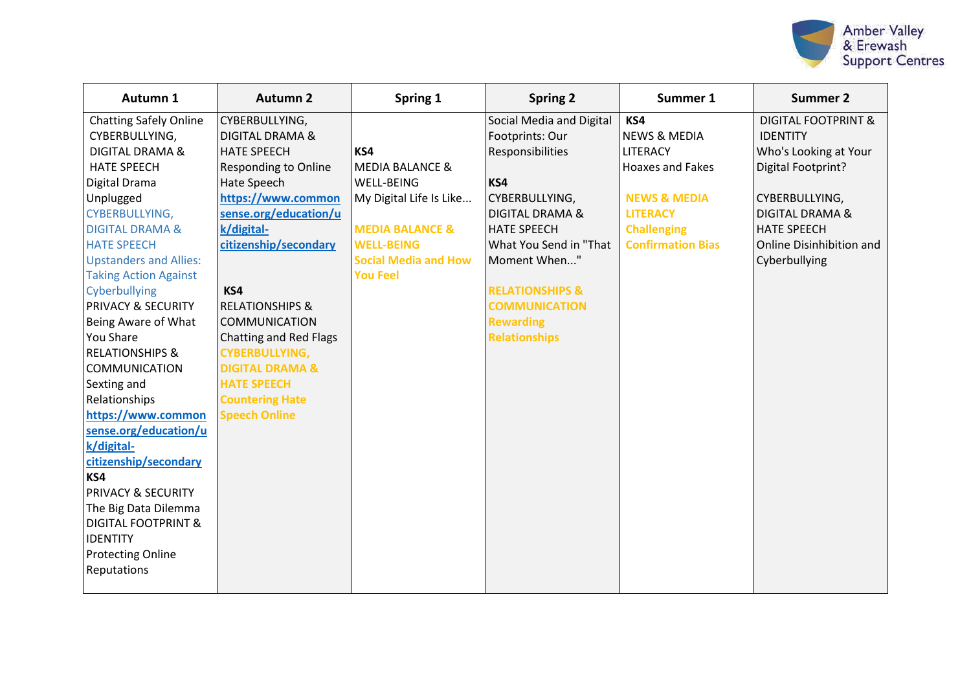

| Autumn 1                       | <b>Autumn 2</b>               | Spring 1                    | <b>Spring 2</b>            | Summer 1                 | <b>Summer 2</b>                |
|--------------------------------|-------------------------------|-----------------------------|----------------------------|--------------------------|--------------------------------|
| <b>Chatting Safely Online</b>  | CYBERBULLYING,                |                             | Social Media and Digital   | KS4                      | <b>DIGITAL FOOTPRINT &amp;</b> |
| CYBERBULLYING,                 | <b>DIGITAL DRAMA &amp;</b>    |                             | Footprints: Our            | <b>NEWS &amp; MEDIA</b>  | <b>IDENTITY</b>                |
| <b>DIGITAL DRAMA &amp;</b>     | <b>HATE SPEECH</b>            | KS4                         | Responsibilities           | <b>LITERACY</b>          | Who's Looking at Your          |
| <b>HATE SPEECH</b>             | <b>Responding to Online</b>   | MEDIA BALANCE &             |                            | <b>Hoaxes and Fakes</b>  | Digital Footprint?             |
| Digital Drama                  | Hate Speech                   | <b>WELL-BEING</b>           | KS4                        |                          |                                |
| Unplugged                      | https://www.common            | My Digital Life Is Like     | CYBERBULLYING,             | <b>NEWS &amp; MEDIA</b>  | CYBERBULLYING,                 |
| CYBERBULLYING,                 | sense.org/education/u         |                             | <b>DIGITAL DRAMA &amp;</b> | <b>LITERACY</b>          | <b>DIGITAL DRAMA &amp;</b>     |
| <b>DIGITAL DRAMA &amp;</b>     | k/digital-                    | <b>MEDIA BALANCE &amp;</b>  | <b>HATE SPEECH</b>         | <b>Challenging</b>       | <b>HATE SPEECH</b>             |
| <b>HATE SPEECH</b>             | citizenship/secondary         | <b>WELL-BEING</b>           | What You Send in "That     | <b>Confirmation Bias</b> | Online Disinhibition and       |
| <b>Upstanders and Allies:</b>  |                               | <b>Social Media and How</b> | Moment When"               |                          | Cyberbullying                  |
| <b>Taking Action Against</b>   |                               | <b>You Feel</b>             |                            |                          |                                |
| Cyberbullying                  | KS4                           |                             | <b>RELATIONSHIPS &amp;</b> |                          |                                |
| <b>PRIVACY &amp; SECURITY</b>  | <b>RELATIONSHIPS &amp;</b>    |                             | <b>COMMUNICATION</b>       |                          |                                |
| Being Aware of What            | <b>COMMUNICATION</b>          |                             | <b>Rewarding</b>           |                          |                                |
| <b>You Share</b>               | <b>Chatting and Red Flags</b> |                             | <b>Relationships</b>       |                          |                                |
| <b>RELATIONSHIPS &amp;</b>     | <b>CYBERBULLYING,</b>         |                             |                            |                          |                                |
| <b>COMMUNICATION</b>           | <b>DIGITAL DRAMA &amp;</b>    |                             |                            |                          |                                |
| Sexting and                    | <b>HATE SPEECH</b>            |                             |                            |                          |                                |
| Relationships                  | <b>Countering Hate</b>        |                             |                            |                          |                                |
| https://www.common             | <b>Speech Online</b>          |                             |                            |                          |                                |
| sense.org/education/u          |                               |                             |                            |                          |                                |
| k/digital-                     |                               |                             |                            |                          |                                |
| citizenship/secondary          |                               |                             |                            |                          |                                |
| KS4                            |                               |                             |                            |                          |                                |
| <b>PRIVACY &amp; SECURITY</b>  |                               |                             |                            |                          |                                |
| The Big Data Dilemma           |                               |                             |                            |                          |                                |
| <b>DIGITAL FOOTPRINT &amp;</b> |                               |                             |                            |                          |                                |
| <b>IDENTITY</b>                |                               |                             |                            |                          |                                |
| <b>Protecting Online</b>       |                               |                             |                            |                          |                                |
| Reputations                    |                               |                             |                            |                          |                                |
|                                |                               |                             |                            |                          |                                |